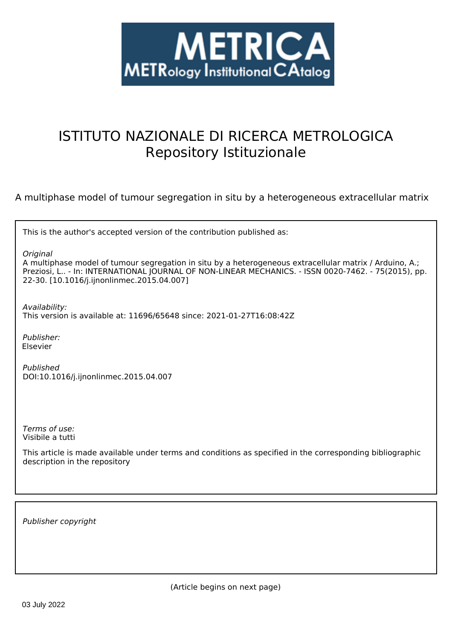

# ISTITUTO NAZIONALE DI RICERCA METROLOGICA Repository Istituzionale

A multiphase model of tumour segregation in situ by a heterogeneous extracellular matrix

| This is the author's accepted version of the contribution published as:                                                                                                                                                                                                 |
|-------------------------------------------------------------------------------------------------------------------------------------------------------------------------------------------------------------------------------------------------------------------------|
| Original<br>A multiphase model of tumour segregation in situ by a heterogeneous extracellular matrix / Arduino, A.;<br>Preziosi, L - In: INTERNATIONAL JOURNAL OF NON-LINEAR MECHANICS. - ISSN 0020-7462. - 75(2015), pp.<br>22-30. [10.1016/j.ijnonlinmec.2015.04.007] |
| Availability:<br>This version is available at: 11696/65648 since: 2021-01-27T16:08:42Z                                                                                                                                                                                  |
| Publisher:<br>Elsevier                                                                                                                                                                                                                                                  |
| Published<br>DOI:10.1016/j.ijnonlinmec.2015.04.007                                                                                                                                                                                                                      |
|                                                                                                                                                                                                                                                                         |
| Terms of use:<br>Visibile a tutti                                                                                                                                                                                                                                       |
| This article is made available under terms and conditions as specified in the corresponding bibliographic<br>description in the repository                                                                                                                              |
|                                                                                                                                                                                                                                                                         |
|                                                                                                                                                                                                                                                                         |

*Publisher copyright*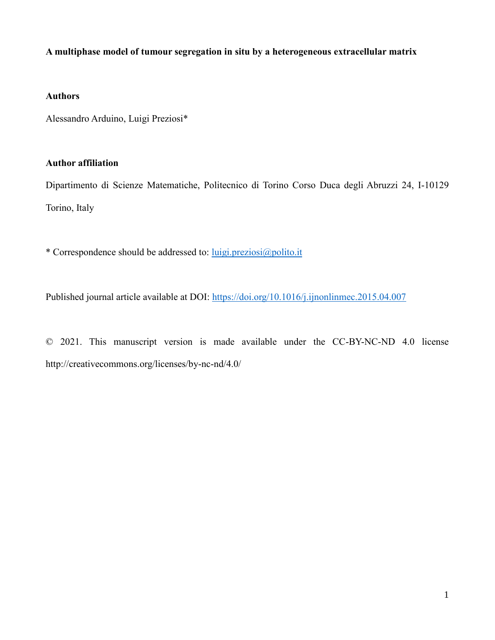**A multiphase model of tumour segregation in situ by a heterogeneous extracellular matrix**

#### **Authors**

Alessandro Arduino, Luigi Preziosi\*

#### **Author affiliation**

Dipartimento di Scienze Matematiche, Politecnico di Torino Corso Duca degli Abruzzi 24, I-10129 Torino, Italy

\* Correspondence should be addressed to: luigi.preziosi@polito.it

Published journal article available at DOI: https://doi.org/10.1016/j.ijnonlinmec.2015.04.007

© 2021. This manuscript version is made available under the CC-BY-NC-ND 4.0 license http://creativecommons.org/licenses/by-nc-nd/4.0/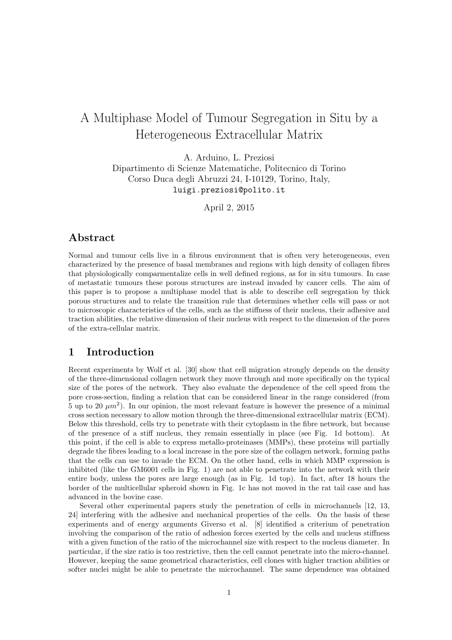# A Multiphase Model of Tumour Segregation in Situ by a Heterogeneous Extracellular Matrix

A. Arduino, L. Preziosi Dipartimento di Scienze Matematiche, Politecnico di Torino Corso Duca degli Abruzzi 24, I-10129, Torino, Italy, luigi.preziosi@polito.it

April 2, 2015

# Abstract

Normal and tumour cells live in a fibrous environment that is often very heterogeneous, even characterized by the presence of basal membranes and regions with high density of collagen fibres that physiologically comparmentalize cells in well defined regions, as for in situ tumours. In case of metastatic tumours these porous structures are instead invaded by cancer cells. The aim of this paper is to propose a multiphase model that is able to describe cell segregation by thick porous structures and to relate the transition rule that determines whether cells will pass or not to microscopic characteristics of the cells, such as the stiffness of their nucleus, their adhesive and traction abilities, the relative dimension of their nucleus with respect to the dimension of the pores of the extra-cellular matrix.

# 1 Introduction

Recent experiments by Wolf et al. [30] show that cell migration strongly depends on the density of the three-dimensional collagen network they move through and more specifically on the typical size of the pores of the network. They also evaluate the dependence of the cell speed from the pore cross-section, finding a relation that can be considered linear in the range considered (from 5 up to 20  $\mu$ m<sup>2</sup>). In our opinion, the most relevant feature is however the presence of a minimal cross section necessary to allow motion through the three-dimensional extracellular matrix (ECM). Below this threshold, cells try to penetrate with their cytoplasm in the fibre network, but because of the presence of a stiff nucleus, they remain essentially in place (see Fig. 1d bottom). At this point, if the cell is able to express metallo-proteinases (MMPs), these proteins will partially degrade the fibres leading to a local increase in the pore size of the collagen network, forming paths that the cells can use to invade the ECM. On the other hand, cells in which MMP expression is inhibited (like the GM6001 cells in Fig. 1) are not able to penetrate into the network with their entire body, unless the pores are large enough (as in Fig. 1d top). In fact, after 18 hours the border of the multicellular spheroid shown in Fig. 1c has not moved in the rat tail case and has advanced in the bovine case.

Several other experimental papers study the penetration of cells in microchannels [12, 13, 24] interfering with the adhesive and mechanical properties of the cells. On the basis of these experiments and of energy arguments Giverso et al. [8] identified a criterium of penetration involving the comparison of the ratio of adhesion forces exerted by the cells and nucleus stiffness with a given function of the ratio of the microchannel size with respect to the nucleus diameter. In particular, if the size ratio is too restrictive, then the cell cannot penetrate into the micro-channel. However, keeping the same geometrical characteristics, cell clones with higher traction abilities or softer nuclei might be able to penetrate the microchannel. The same dependence was obtained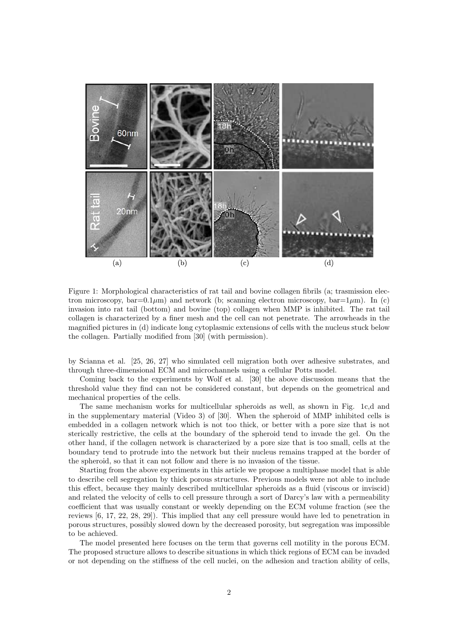

Figure 1: Morphological characteristics of rat tail and bovine collagen fibrils (a; trasmission electron microscopy, bar=0.1 $\mu$ m) and network (b; scanning electron microscopy, bar=1 $\mu$ m). In (c) invasion into rat tail (bottom) and bovine (top) collagen when MMP is inhibited. The rat tail collagen is characterized by a finer mesh and the cell can not penetrate. The arrowheads in the magnified pictures in (d) indicate long cytoplasmic extensions of cells with the nucleus stuck below the collagen. Partially modified from [30] (with permission).

by Scianna et al. [25, 26, 27] who simulated cell migration both over adhesive substrates, and through three-dimensional ECM and microchannels using a cellular Potts model.

Coming back to the experiments by Wolf et al. [30] the above discussion means that the threshold value they find can not be considered constant, but depends on the geometrical and mechanical properties of the cells.

The same mechanism works for multicellular spheroids as well, as shown in Fig. 1c,d and in the supplementary material (Video 3) of [30]. When the spheroid of MMP inhibited cells is embedded in a collagen network which is not too thick, or better with a pore size that is not sterically restrictive, the cells at the boundary of the spheroid tend to invade the gel. On the other hand, if the collagen network is characterized by a pore size that is too small, cells at the boundary tend to protrude into the network but their nucleus remains trapped at the border of the spheroid, so that it can not follow and there is no invasion of the tissue.

Starting from the above experiments in this article we propose a multiphase model that is able to describe cell segregation by thick porous structures. Previous models were not able to include this effect, because they mainly described multicellular spheroids as a fluid (viscous or inviscid) and related the velocity of cells to cell pressure through a sort of Darcy's law with a permeability coefficient that was usually constant or weekly depending on the ECM volume fraction (see the reviews [6, 17, 22, 28, 29]). This implied that any cell pressure would have led to penetration in porous structures, possibly slowed down by the decreased porosity, but segregation was impossible to be achieved.

The model presented here focuses on the term that governs cell motility in the porous ECM. The proposed structure allows to describe situations in which thick regions of ECM can be invaded or not depending on the stiffness of the cell nuclei, on the adhesion and traction ability of cells,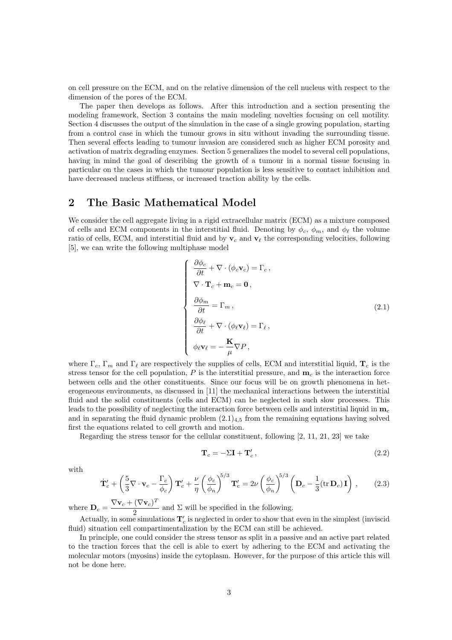on cell pressure on the ECM, and on the relative dimension of the cell nucleus with respect to the dimension of the pores of the ECM.

The paper then develops as follows. After this introduction and a section presenting the modeling framework, Section 3 contains the main modeling novelties focusing on cell motility. Section 4 discusses the output of the simulation in the case of a single growing population, starting from a control case in which the tumour grows in situ without invading the surrounding tissue. Then several effects leading to tumour invasion are considered such as higher ECM porosity and activation of matrix degrading enzymes. Section 5 generalizes the model to several cell populations, having in mind the goal of describing the growth of a tumour in a normal tissue focusing in particular on the cases in which the tumour population is less sensitive to contact inhibition and have decreased nucleus stiffness, or increased traction ability by the cells.

#### 2 The Basic Mathematical Model

We consider the cell aggregate living in a rigid extracellular matrix (ECM) as a mixture composed of cells and ECM components in the interstitial fluid. Denoting by  $\phi_c$ ,  $\phi_m$ , and  $\phi_\ell$  the volume ratio of cells, ECM, and interstitial fluid and by  $v_c$  and  $v_\ell$  the corresponding velocities, following [5], we can write the following multiphase model

$$
\begin{cases}\n\frac{\partial \phi_c}{\partial t} + \nabla \cdot (\phi_c \mathbf{v}_c) = \Gamma_c, \\
\nabla \cdot \mathbf{T}_c + \mathbf{m}_c = \mathbf{0}, \\
\frac{\partial \phi_m}{\partial t} = \Gamma_m, \\
\frac{\partial \phi_\ell}{\partial t} + \nabla \cdot (\phi_\ell \mathbf{v}_\ell) = \Gamma_\ell, \\
\phi_\ell \mathbf{v}_\ell = -\frac{\mathbf{K}}{\mu} \nabla P,\n\end{cases}
$$
\n(2.1)

where  $\Gamma_c$ ,  $\Gamma_m$  and  $\Gamma_\ell$  are respectively the supplies of cells, ECM and interstitial liquid,  $\mathbf{T}_c$  is the stress tensor for the cell population,  $P$  is the interstitial pressure, and  $\mathbf{m}_c$  is the interaction force between cells and the other constituents. Since our focus will be on growth phenomena in heterogeneous environments, as discussed in [11] the mechanical interactions between the interstitial fluid and the solid constituents (cells and ECM) can be neglected in such slow processes. This leads to the possibility of neglecting the interaction force between cells and interstitial liquid in  $\mathbf{m}_c$ and in separating the fluid dynamic problem  $(2.1)_{4.5}$  from the remaining equations having solved first the equations related to cell growth and motion.

Regarding the stress tensor for the cellular constituent, following [2, 11, 21, 23] we take

$$
\mathbf{T}_c = -\Sigma \mathbf{I} + \mathbf{T}_c',\tag{2.2}
$$

with

$$
\dot{\mathbf{T}}'_{c} + \left(\frac{5}{3}\nabla \cdot \mathbf{v}_{c} - \frac{\Gamma_{c}}{\phi_{c}}\right) \mathbf{T}'_{c} + \frac{\nu}{\eta} \left(\frac{\phi_{c}}{\phi_{n}}\right)^{5/3} \mathbf{T}'_{c} = 2\nu \left(\frac{\phi_{c}}{\phi_{n}}\right)^{5/3} \left(\mathbf{D}_{c} - \frac{1}{3}(\text{tr}\,\mathbf{D}_{c})\,\mathbf{I}\right) ,\qquad(2.3)
$$

where  $\mathbf{D}_c = \frac{\nabla \mathbf{v}_c + (\nabla \mathbf{v}_c)^T}{2}$  $\frac{(1+i\epsilon)}{2}$  and  $\Sigma$  will be specified in the following.

Actually, in some simulations  $\mathbf{T}'_c$  is neglected in order to show that even in the simplest (inviscid fluid) situation cell compartimentalization by the ECM can still be achieved.

In principle, one could consider the stress tensor as split in a passive and an active part related to the traction forces that the cell is able to exert by adhering to the ECM and activating the molecular motors (myosins) inside the cytoplasm. However, for the purpose of this article this will not be done here.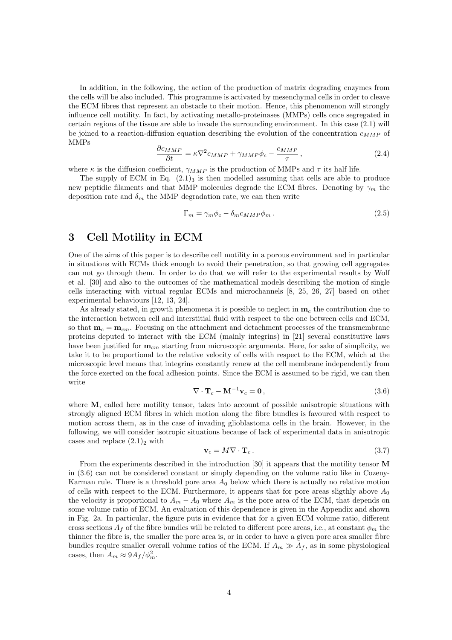In addition, in the following, the action of the production of matrix degrading enzymes from the cells will be also included. This programme is activated by mesenchymal cells in order to cleave the ECM fibres that represent an obstacle to their motion. Hence, this phenomenon will strongly influence cell motility. In fact, by activating metallo-proteinases (MMPs) cells once segregated in certain regions of the tissue are able to invade the surrounding environment. In this case (2.1) will be joined to a reaction-diffusion equation describing the evolution of the concentration  $c_{MMP}$  of MMPs

$$
\frac{\partial c_{MMP}}{\partial t} = \kappa \nabla^2 c_{MMP} + \gamma_{MMP} \phi_c - \frac{c_{MMP}}{\tau}, \qquad (2.4)
$$

where  $\kappa$  is the diffusion coefficient,  $\gamma_{MMP}$  is the production of MMPs and  $\tau$  its half life.

The supply of ECM in Eq.  $(2.1)_3$  is then modelled assuming that cells are able to produce new peptidic filaments and that MMP molecules degrade the ECM fibres. Denoting by  $\gamma_m$  the deposition rate and  $\delta_m$  the MMP degradation rate, we can then write

$$
\Gamma_m = \gamma_m \phi_c - \delta_m c_{MMP} \phi_m \,. \tag{2.5}
$$

# 3 Cell Motility in ECM

One of the aims of this paper is to describe cell motility in a porous environment and in particular in situations with ECMs thick enough to avoid their penetration, so that growing cell aggregates can not go through them. In order to do that we will refer to the experimental results by Wolf et al. [30] and also to the outcomes of the mathematical models describing the motion of single cells interacting with virtual regular ECMs and microchannels [8, 25, 26, 27] based on other experimental behaviours [12, 13, 24].

As already stated, in growth phenomena it is possible to neglect in  $m_c$  the contribution due to the interaction between cell and interstitial fluid with respect to the one between cells and ECM, so that  $\mathbf{m}_c = \mathbf{m}_{cm}$ . Focusing on the attachment and detachment processes of the transmembrane proteins deputed to interact with the ECM (mainly integrins) in [21] several constitutive laws have been justified for  $\mathbf{m}_{cm}$  starting from microscopic arguments. Here, for sake of simplicity, we take it to be proportional to the relative velocity of cells with respect to the ECM, which at the microscopic level means that integrins constantly renew at the cell membrane independently from the force exerted on the focal adhesion points. Since the ECM is assumed to be rigid, we can then write

$$
\nabla \cdot \mathbf{T}_c - \mathbf{M}^{-1} \mathbf{v}_c = \mathbf{0},\tag{3.6}
$$

where M, called here motility tensor, takes into account of possible anisotropic situations with strongly aligned ECM fibres in which motion along the fibre bundles is favoured with respect to motion across them, as in the case of invading glioblastoma cells in the brain. However, in the following, we will consider isotropic situations because of lack of experimental data in anisotropic cases and replace  $(2.1)<sub>2</sub>$  with

$$
\mathbf{v}_c = M \nabla \cdot \mathbf{T}_c. \tag{3.7}
$$

From the experiments described in the introduction [30] it appears that the motility tensor M in (3.6) can not be considered constant or simply depending on the volume ratio like in Cozeny-Karman rule. There is a threshold pore area  $A_0$  below which there is actually no relative motion of cells with respect to the ECM. Furthermore, it appears that for pore areas sligthly above  $A_0$ the velocity is proportional to  $A_m - A_0$  where  $A_m$  is the pore area of the ECM, that depends on some volume ratio of ECM. An evaluation of this dependence is given in the Appendix and shown in Fig. 2a. In particular, the figure puts in evidence that for a given ECM volume ratio, different cross sections  $A_f$  of the fibre bundles will be related to different pore areas, i.e., at constant  $\phi_m$  the thinner the fibre is, the smaller the pore area is, or in order to have a given pore area smaller fibre bundles require smaller overall volume ratios of the ECM. If  $A_m \gg A_f$ , as in some physiological cases, then  $A_m \approx 9A_f/\phi_m^2$ .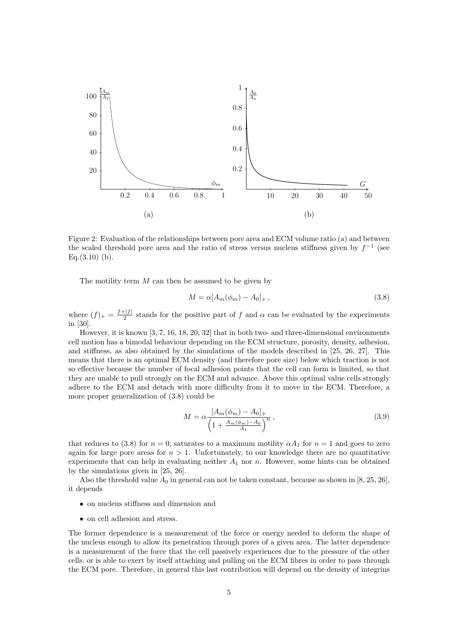

Figure 2: Evaluation of the relationships between pore area and ECM volume ratio (a) and between the scaled threshold pore area and the ratio of stress versus nucleus stiffness given by  $f^{-1}$  (see  $Eq.(3.10)$  (b).

The motility term  $M$  can then be assumed to be given by

$$
M = \alpha [A_m(\phi_m) - A_0]_+, \tag{3.8}
$$

where  $(f)_+ = \frac{f+|f|}{2}$  stands for the positive part of f and  $\alpha$  can be evaluated by the experiments in [30].

However, it is known [3, 7, 16, 18, 20, 32] that in both two- and three-dimensional environments cell motion has a bimodal behaviour depending on the ECM structure, porosity, density, adhesion, and stiffness, as also obtained by the simulations of the models described in [25, 26, 27]. This means that there is an optimal ECM density (and therefore pore size) below which traction is not so effective because the number of focal adhesion points that the cell can form is limited, so that they are unable to pull strongly on the ECM and advance. Above this optimal value cells strongly adhere to the ECM and detach with more difficulty from it to move in the ECM. Therefore, a more proper generalization of (3.8) could be

$$
M = \alpha \frac{[A_m(\phi_m) - A_0]_+}{\left(1 + \frac{A_m(\phi_m) - A_0}{A_1}\right)^n},
$$
\n(3.9)

that reduces to (3.8) for  $n = 0$ , saturates to a maximum motility  $\alpha A_1$  for  $n = 1$  and goes to zero again for large pore areas for  $n > 1$ . Unfortunately, to our knowledge there are no quantitative experiments that can help in evaluating neither  $A_1$  nor n. However, some hints can be obtained by the simulations given in [25, 26].

Also the threshold value  $A_0$  in general can not be taken constant, because as shown in [8, 25, 26], it depends

- on nucleus stiffness and dimension and
- on cell adhesion and stress.

The former dependence is a measurement of the force or energy needed to deform the shape of the nucleus enough to allow its penetration through pores of a given area. The latter dependence is a measurement of the force that the cell passively experiences due to the pressure of the other cells, or is able to exert by itself attaching and pulling on the ECM fibres in order to pass through the ECM pore. Therefore, in general this last contribution will depend on the density of integrins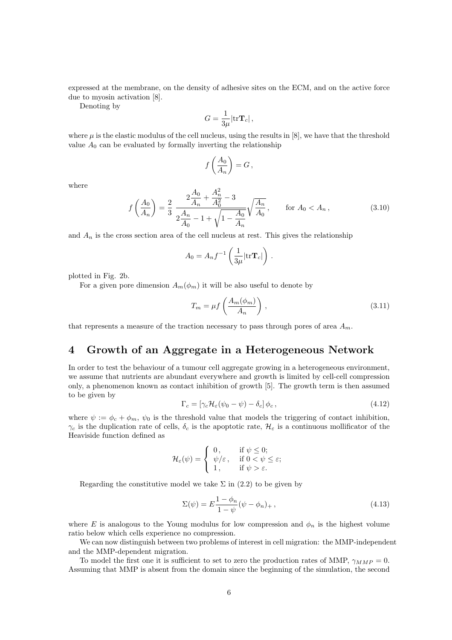expressed at the membrane, on the density of adhesive sites on the ECM, and on the active force due to myosin activation [8].

Denoting by

$$
G = \frac{1}{3\mu} |\text{tr} \mathbf{T}_c| \,,
$$

where  $\mu$  is the elastic modulus of the cell nucleus, using the results in [8], we have that the threshold value  $A_0$  can be evaluated by formally inverting the relationship

$$
f\left(\frac{A_0}{A_n}\right) = G\,,
$$

where

$$
f\left(\frac{A_0}{A_n}\right) = \frac{2}{3} \frac{2\frac{A_0}{A_n} + \frac{A_n^2}{A_0^2} - 3}{2\frac{A_n}{A_0} - 1 + \sqrt{1 - \frac{A_0}{A_n}}\sqrt{\frac{A_n}{A_0}}}, \quad \text{for } A_0 < A_n,\tag{3.10}
$$

and  $A_n$  is the cross section area of the cell nucleus at rest. This gives the relationship

$$
A_0 = A_n f^{-1} \left( \frac{1}{3\mu} |\text{tr} \mathbf{T}_c| \right) .
$$

plotted in Fig. 2b.

For a given pore dimension  $A_m(\phi_m)$  it will be also useful to denote by

$$
T_m = \mu f\left(\frac{A_m(\phi_m)}{A_n}\right),\tag{3.11}
$$

that represents a measure of the traction necessary to pass through pores of area  $A_m$ .

# 4 Growth of an Aggregate in a Heterogeneous Network

In order to test the behaviour of a tumour cell aggregate growing in a heterogeneous environment, we assume that nutrients are abundant everywhere and growth is limited by cell-cell compression only, a phenomenon known as contact inhibition of growth [5]. The growth term is then assumed to be given by

$$
\Gamma_c = [\gamma_c \mathcal{H}_{\varepsilon}(\psi_0 - \psi) - \delta_c] \phi_c, \qquad (4.12)
$$

where  $\psi := \phi_c + \phi_m$ ,  $\psi_0$  is the threshold value that models the triggering of contact inhibition,  $\gamma_c$  is the duplication rate of cells,  $\delta_c$  is the apoptotic rate,  $\mathcal{H}_{\varepsilon}$  is a continuous mollificator of the Heaviside function defined as

$$
\mathcal{H}_{\varepsilon}(\psi) = \begin{cases} 0, & \text{if } \psi \leq 0; \\ \psi/\varepsilon, & \text{if } 0 < \psi \leq \varepsilon; \\ 1, & \text{if } \psi > \varepsilon. \end{cases}
$$

Regarding the constitutive model we take  $\Sigma$  in (2.2) to be given by

$$
\Sigma(\psi) = E \frac{1 - \phi_n}{1 - \psi} (\psi - \phi_n)_+, \qquad (4.13)
$$

where E is analogous to the Young modulus for low compression and  $\phi_n$  is the highest volume ratio below which cells experience no compression.

We can now distinguish between two problems of interest in cell migration: the MMP-independent and the MMP-dependent migration.

To model the first one it is sufficient to set to zero the production rates of MMP,  $\gamma_{MMP} = 0$ . Assuming that MMP is absent from the domain since the beginning of the simulation, the second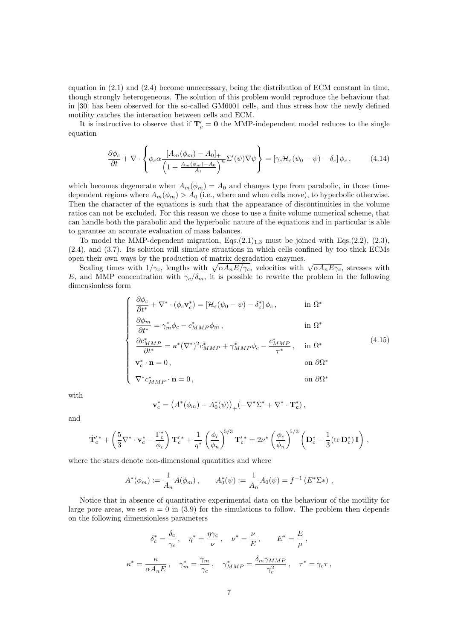equation in (2.1) and (2.4) become unnecessary, being the distribution of ECM constant in time, though strongly heterogeneous. The solution of this problem would reproduce the behaviour that in [30] has been observed for the so-called GM6001 cells, and thus stress how the newly defined motility catches the interaction between cells and ECM.

It is instructive to observe that if  $T_c' = 0$  the MMP-independent model reduces to the single equation

$$
\frac{\partial \phi_c}{\partial t} + \nabla \cdot \left\{ \phi_c \alpha \frac{[A_m(\phi_m) - A_0]_+}{\left(1 + \frac{A_m(\phi_m) - A_0}{A_1}\right)^n} \Sigma'(\psi) \nabla \psi \right\} = \left[ \gamma_c \mathcal{H}_\varepsilon(\psi_0 - \psi) - \delta_c \right] \phi_c, \tag{4.14}
$$

which becomes degenerate when  $A_m(\phi_m) = A_0$  and changes type from parabolic, in those timedependent regions where  $A_m(\phi_m) > A_0$  (i.e., where and when cells move), to hyperbolic otherwise. Then the character of the equations is such that the appearance of discontinuities in the volume ratios can not be excluded. For this reason we chose to use a finite volume numerical scheme, that can handle both the parabolic and the hyperbolic nature of the equations and in particular is able to garantee an accurate evaluation of mass balances.

To model the MMP-dependent migration, Eqs. $(2.1)_{1,3}$  must be joined with Eqs. $(2.2)$ ,  $(2.3)$ , (2.4), and (3.7). Its solution will simulate situations in which cells confined by too thick ECMs open their own ways by the production of matrix degradation enzymes.

Scaling times with  $1/\gamma_c$ , lengths with  $\sqrt{\alpha A_n E/\gamma_c}$ , velocities with  $\sqrt{\alpha A_n E \gamma_c}$ , stresses with E, and MMP concentration with  $\gamma_c/\delta_m$ , it is possible to rewrite the problem in the following dimensionless form

$$
\begin{cases}\n\frac{\partial \phi_c}{\partial t^*} + \nabla^* \cdot (\phi_c \mathbf{v}_c^*) = [\mathcal{H}_\varepsilon(\psi_0 - \psi) - \delta_c^*] \phi_c, & \text{in } \Omega^* \\
\frac{\partial \phi_m}{\partial t^*} = \gamma_m^* \phi_c - c_{MMP}^* \phi_m, & \text{in } \Omega^*\n\end{cases}
$$

$$
\begin{cases}\n\frac{\partial \phi_m}{\partial t^*} + \nabla^* \cdot (\phi_c \mathbf{v}_c^*) = [\mathcal{H}_\varepsilon(\psi_0 - \psi) - \delta_c^*] \phi_c, & \text{in } \Omega^* \\
\frac{\partial \phi_m}{\partial t^*} = \gamma_m^* \phi_c - c_{MMP}^* \phi_m, & \text{in } \Omega^* \\
\frac{\partial c_{MMP}^*}{\partial t^*} = \kappa^* (\nabla^*)^2 c_{MMP}^* + \gamma_{MMP}^* \phi_c - \frac{c_{MMP}^*}{\tau^*}, & \text{in } \Omega^*\n\end{cases}
$$
\n(4.15)

$$
\mathbf{v}_c^* \cdot \mathbf{n} = 0 \,, \qquad \qquad \text{on } \partial \Omega^*
$$

$$
\overline{\partial t^*} = \kappa \quad (\text{V}) \quad c_{MMP} + \gamma_{MMP} \varphi_c - \frac{\pi^*}{\tau^*}, \quad \text{in } \Omega
$$
\n
$$
\mathbf{v}_c^* \cdot \mathbf{n} = 0, \quad \text{on } \partial \Omega^*
$$
\n
$$
\nabla^* c_{MMP}^* \cdot \mathbf{n} = 0, \quad \text{on } \partial \Omega^*
$$

with

$$
\mathbf{v}_{c}^* = \left(A^*(\phi_m) - A_0^*(\psi)\right)_+ \left(-\nabla^* \Sigma^* + \nabla^* \cdot \mathbf{T_c^*}\right),\,
$$

and

$$
\dot{\mathbf{T}}_c^{\prime *} + \left(\frac{5}{3}\nabla^* \cdot \mathbf{v}_c^* - \frac{\Gamma_c^*}{\phi_c}\right) \mathbf{T}_c^{\prime *} + \frac{1}{\eta^*} \left(\frac{\phi_c}{\phi_n}\right)^{5/3} \mathbf{T}_c^{\prime *} = 2\nu^* \left(\frac{\phi_c}{\phi_n}\right)^{5/3} \left(\mathbf{D}_c^* - \frac{1}{3} (\text{tr}\,\mathbf{D}_c^*) \mathbf{I}\right) ,
$$

where the stars denote non-dimensional quantities and where

$$
A^*(\phi_m) := \frac{1}{A_n} A(\phi_m) \,, \qquad A_0^*(\psi) := \frac{1}{A_n} A_0(\psi) = f^{-1} \left( E^* \Sigma^* \right) \,,
$$

Notice that in absence of quantitative experimental data on the behaviour of the motility for large pore areas, we set  $n = 0$  in (3.9) for the simulations to follow. The problem then depends on the following dimensionless parameters

$$
\delta_c^* = \frac{\delta_c}{\gamma_c}, \quad \eta^* = \frac{\eta \gamma_c}{\nu}, \quad \nu^* = \frac{\nu}{E}, \qquad E^* = \frac{E}{\mu},
$$
  

$$
\kappa^* = \frac{\kappa}{\alpha A_n E}, \quad \gamma_m^* = \frac{\gamma_m}{\gamma_c}, \quad \gamma_{MMP}^* = \frac{\delta_m \gamma_{MMP}}{\gamma_c^2}, \quad \tau^* = \gamma_c \tau,
$$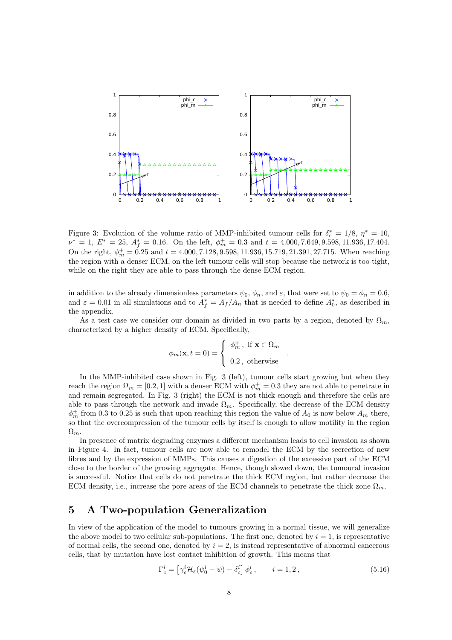

Figure 3: Evolution of the volume ratio of MMP-inhibited tumour cells for  $\delta_c^* = 1/8$ ,  $\eta^* = 10$ ,  $\nu^* = 1, E^* = 25, A_f^* = 0.16.$  On the left,  $\phi_m^+ = 0.3$  and  $t = 4.000, 7.649, 9.598, 11.936, 17.404.$ On the right,  $\phi_m^+ = 0.25$  and  $t = 4.000, 7.128, 9.598, 11.936, 15.719, 21.391, 27.715$ . When reaching the region with a denser ECM, on the left tumour cells will stop because the network is too tight, while on the right they are able to pass through the dense ECM region.

in addition to the already dimensionless parameters  $\psi_0$ ,  $\phi_n$ , and  $\varepsilon$ , that were set to  $\psi_0 = \phi_n = 0.6$ , and  $\varepsilon = 0.01$  in all simulations and to  $A_f^* = A_f/A_n$  that is needed to define  $A_0^*$ , as described in the appendix.

As a test case we consider our domain as divided in two parts by a region, denoted by  $\Omega_m$ , characterized by a higher density of ECM. Specifically,

$$
\phi_m(\mathbf{x}, t=0) = \begin{cases} \phi_m^+, \text{ if } \mathbf{x} \in \Omega_m \\ 0.2, \text{ otherwise} \end{cases}
$$

In the MMP-inhibited case shown in Fig. 3 (left), tumour cells start growing but when they reach the region  $\Omega_m = [0.2, 1]$  with a denser ECM with  $\phi_m^+ = 0.3$  they are not able to penetrate in and remain segregated. In Fig. 3 (right) the ECM is not thick enough and therefore the cells are able to pass through the network and invade  $\Omega_m$ . Specifically, the decrease of the ECM density  $\phi_m^+$  from 0.3 to 0.25 is such that upon reaching this region the value of  $A_0$  is now below  $A_m$  there, so that the overcompression of the tumour cells by itself is enough to allow motility in the region  $\Omega_m$ .

In presence of matrix degrading enzymes a different mechanism leads to cell invasion as shown in Figure 4. In fact, tumour cells are now able to remodel the ECM by the secrection of new fibres and by the expression of MMPs. This causes a digestion of the excessive part of the ECM close to the border of the growing aggregate. Hence, though slowed down, the tumoural invasion is successful. Notice that cells do not penetrate the thick ECM region, but rather decrease the ECM density, i.e., increase the pore areas of the ECM channels to penetrate the thick zone  $\Omega_m$ .

#### 5 A Two-population Generalization

In view of the application of the model to tumours growing in a normal tissue, we will generalize the above model to two cellular sub-populations. The first one, denoted by  $i = 1$ , is representative of normal cells, the second one, denoted by  $i = 2$ , is instead representative of abnormal cancerous cells, that by mutation have lost contact inhibition of growth. This means that

$$
\Gamma_c^i = \left[ \gamma_c^i \mathcal{H}_\varepsilon(\psi_0^i - \psi) - \delta_c^i \right] \phi_c^i, \qquad i = 1, 2, \tag{5.16}
$$

.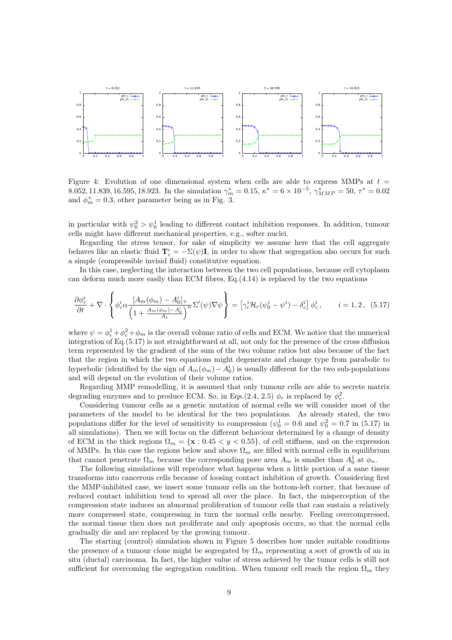

Figure 4: Evolution of one dimensional system when cells are able to express MMPs at  $t =$ 8.052, 11.839, 16.595, 18.923. In the simulation  $\gamma_m^* = 0.15$ ,  $\kappa^* = 6 \times 10^{-5}$ ,  $\gamma_{MMP}^* = 50$ ,  $\tau^* = 0.02$ and  $\phi_m^+ = 0.3$ , other parameter being as in Fig. 3.

in particular with  $\psi_0^2 > \psi_0^1$  leading to different contact inhibition responses. In addition, tumour cells might have different mechanical properties, e.g., softer nuclei.

Regarding the stress tensor, for sake of simplicity we assume here that the cell aggregate behaves like an elastic fluid  $\mathbf{T}_c^i = -\Sigma(\psi)\mathbf{I}$ , in order to show that segregation also occurs for such a simple (compressible invisid fluid) constitutive equation.

In this case, neglecting the interaction between the two cell populations, because cell cytoplasm can deform much more easily than ECM fibres,  $Eq.(4.14)$  is replaced by the two equations

$$
\frac{\partial \phi_c^i}{\partial t} + \nabla \cdot \left\{ \phi_c^i \alpha \frac{[A_m(\phi_m) - A_0^i]_+}{\left(1 + \frac{A_m(\phi_m) - A_0^i}{A_1}\right)^n} \Sigma'(\psi) \nabla \psi \right\} = \left[ \gamma_c^i \mathcal{H}_\varepsilon(\psi_0^i - \psi^i) - \delta_c^i \right] \phi_c^i, \qquad i = 1, 2, (5.17)
$$

where  $\psi = \phi_c^1 + \phi_c^2 + \phi_m$  is the overall volume ratio of cells and ECM. We notice that the numerical integration of Eq.(5.17) is not straightforward at all, not only for the presence of the cross diffusion term represented by the gradient of the sum of the two volume ratios but also because of the fact that the region in which the two equations might degenerate and change type from parabolic to hyperbolic (identified by the sign of  $A_m(\phi_m) - A_0^i$ ) is usually different for the two sub-populations and will depend on the evolution of their volume ratios.

Regarding MMP remodelling, it is assumed that only tumour cells are able to secrete matrix degrading enzymes and to produce ECM. So, in Eqs.(2.4, 2.5)  $\phi_c$  is replaced by  $\phi_c^2$ .

Considering tumour cells as a genetic mutation of normal cells we will consider most of the parameters of the model to be identical for the two populations. As already stated, the two populations differ for the level of sensitivity to compression  $(\psi_0^1 = 0.6$  and  $\psi_0^2 = 0.7$  in  $(5.17)$  in all simulations). Then we will focus on the different behaviour determined by a change of density of ECM in the thick regions  $\Omega_m = \{x : 0.45 < y < 0.55\}$ , of cell stiffness, and on the expression of MMPs. In this case the regions below and above  $\Omega_m$  are filled with normal cells in equilibrium that cannot penetrate  $\Omega_m$  because the corresponding pore area  $A_m$  is smaller than  $A_0^1$  at  $\phi_n$ .

The following simulations will reproduce what happens when a little portion of a sane tissue transforms into cancerous cells because of loosing contact inhibition of growth. Considering first the MMP-inhibited case, we insert some tumour cells on the bottom-left corner, that because of reduced contact inhibition tend to spread all over the place. In fact, the misperception of the compression state induces an abnormal proliferation of tumour cells that can sustain a relatively more compressed state, compressing in turn the normal cells nearby. Feeling overcompressed, the normal tissue then does not proliferate and only apoptosis occurs, so that the normal cells gradually die and are replaced by the growing tumour.

The starting (control) simulation shown in Figure 5 describes how under suitable conditions the presence of a tumour clone might be segregated by  $\Omega_m$  representing a sort of growth of an in situ (ductal) carcinoma. In fact, the higher value of stress achieved by the tumor cells is still not sufficient for overcoming the segregation condition. When tumour cell reach the region  $\Omega_m$  they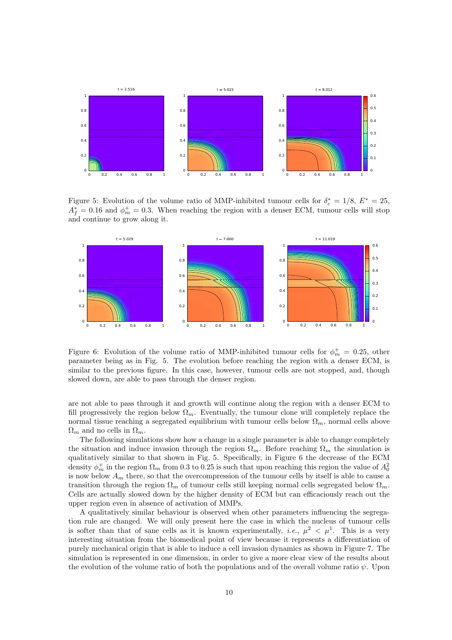

Figure 5: Evolution of the volume ratio of MMP-inhibited tumour cells for  $\delta_c^* = 1/8$ ,  $E^* = 25$ ,  $A_f^* = 0.16$  and  $\phi_m^+ = 0.3$ . When reaching the region with a denser ECM, tumour cells will stop and continue to grow along it.



Figure 6: Evolution of the volume ratio of MMP-inhibited tumour cells for  $\phi_m^+ = 0.25$ , other parameter being as in Fig. 5. The evolution before reaching the region with a denser ECM, is similar to the previous figure. In this case, however, tumour cells are not stopped, and, though slowed down, are able to pass through the denser region.

are not able to pass through it and growth will continue along the region with a denser ECM to fill progressively the region below  $\Omega_m$ . Eventually, the tumour clone will completely replace the normal tissue reaching a segregated equilibrium with tumour cells below  $\Omega_m$ , normal cells above  $\Omega_m$  and no cells in  $\Omega_m$ .

The following simulations show how a change in a single parameter is able to change completely the situation and induce invasion through the region  $\Omega_m$ . Before reaching  $\Omega_m$  the simulation is qualitatively similar to that shown in Fig. 5. Specifically, in Figure 6 the decrease of the ECM density  $\phi_m^+$  in the region  $\Omega_m$  from 0.3 to 0.25 is such that upon reaching this region the value of  $A_0^2$ is now below  $A_m$  there, so that the overcompression of the tumour cells by itself is able to cause a transition through the region  $\Omega_m$  of tumour cells still keeping normal cells segregated below  $\Omega_m$ . Cells are actually slowed down by the higher density of ECM but can efficaciously reach out the upper region even in absence of activation of MMPs.

A qualitatively similar behaviour is observed when other parameters influencing the segregation rule are changed. We will only present here the case in which the nucleus of tumour cells is softer than that of sane cells as it is known experimentally, *i.e.*,  $\mu^2 < \mu^1$ . This is a very interesting situation from the biomedical point of view because it represents a differentiation of purely mechanical origin that is able to induce a cell invasion dynamics as shown in Figure 7. The simulation is represented in one dimension, in order to give a more clear view of the results about the evolution of the volume ratio of both the populations and of the overall volume ratio  $\psi$ . Upon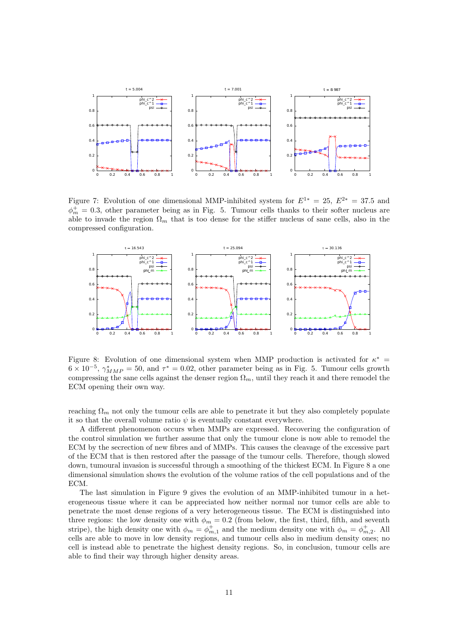

Figure 7: Evolution of one dimensional MMP-inhibited system for  $E^{1*} = 25$ ,  $E^{2*} = 37.5$  and  $\phi_m^+ = 0.3$ , other parameter being as in Fig. 5. Tumour cells thanks to their softer nucleus are able to invade the region  $\Omega_m$  that is too dense for the stiffer nucleus of sane cells, also in the compressed configuration.



Figure 8: Evolution of one dimensional system when MMP production is activated for  $\kappa^*$  =  $6 \times 10^{-5}$ ,  $\gamma_{MMP}^* = 50$ , and  $\tau^* = 0.02$ , other parameter being as in Fig. 5. Tumour cells growth compressing the sane cells against the denser region  $\Omega_m$ , until they reach it and there remodel the ECM opening their own way.

reaching  $\Omega_m$  not only the tumour cells are able to penetrate it but they also completely populate it so that the overall volume ratio  $\psi$  is eventually constant everywhere.

A different phenomenon occurs when MMPs are expressed. Recovering the configuration of the control simulation we further assume that only the tumour clone is now able to remodel the ECM by the secrection of new fibres and of MMPs. This causes the cleavage of the excessive part of the ECM that is then restored after the passage of the tumour cells. Therefore, though slowed down, tumoural invasion is successful through a smoothing of the thickest ECM. In Figure 8 a one dimensional simulation shows the evolution of the volume ratios of the cell populations and of the ECM.

The last simulation in Figure 9 gives the evolution of an MMP-inhibited tumour in a heterogeneous tissue where it can be appreciated how neither normal nor tumor cells are able to penetrate the most dense regions of a very heterogeneous tissue. The ECM is distinguished into three regions: the low density one with  $\phi_m = 0.2$  (from below, the first, third, fifth, and seventh stripe), the high density one with  $\phi_m = \phi_{m,1}^+$  and the medium density one with  $\phi_m = \phi_{m,2}^+$ . All cells are able to move in low density regions, and tumour cells also in medium density ones; no cell is instead able to penetrate the highest density regions. So, in conclusion, tumour cells are able to find their way through higher density areas.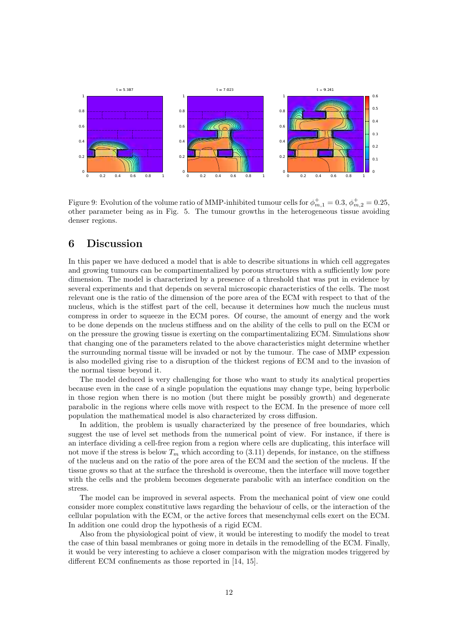

Figure 9: Evolution of the volume ratio of MMP-inhibited tumour cells for  $\phi_{m,1}^+ = 0.3$ ,  $\phi_{m,2}^+ = 0.25$ , other parameter being as in Fig. 5. The tumour growths in the heterogeneous tissue avoiding denser regions.

#### 6 Discussion

In this paper we have deduced a model that is able to describe situations in which cell aggregates and growing tumours can be compartimentalized by porous structures with a sufficiently low pore dimension. The model is characterized by a presence of a threshold that was put in evidence by several experiments and that depends on several microscopic characteristics of the cells. The most relevant one is the ratio of the dimension of the pore area of the ECM with respect to that of the nucleus, which is the stiffest part of the cell, because it determines how much the nucleus must compress in order to squeeze in the ECM pores. Of course, the amount of energy and the work to be done depends on the nucleus stiffness and on the ability of the cells to pull on the ECM or on the pressure the growing tissue is exerting on the compartimentalizing ECM. Simulations show that changing one of the parameters related to the above characteristics might determine whether the surrounding normal tissue will be invaded or not by the tumour. The case of MMP expession is also modelled giving rise to a disruption of the thickest regions of ECM and to the invasion of the normal tissue beyond it.

The model deduced is very challenging for those who want to study its analytical properties because even in the case of a single population the equations may change type, being hyperbolic in those region when there is no motion (but there might be possibly growth) and degenerate parabolic in the regions where cells move with respect to the ECM. In the presence of more cell population the mathematical model is also characterized by cross diffusion.

In addition, the problem is usually characterized by the presence of free boundaries, which suggest the use of level set methods from the numerical point of view. For instance, if there is an interface dividing a cell-free region from a region where cells are duplicating, this interface will not move if the stress is below  $T_m$  which according to (3.11) depends, for instance, on the stiffness of the nucleus and on the ratio of the pore area of the ECM and the section of the nucleus. If the tissue grows so that at the surface the threshold is overcome, then the interface will move together with the cells and the problem becomes degenerate parabolic with an interface condition on the stress.

The model can be improved in several aspects. From the mechanical point of view one could consider more complex constitutive laws regarding the behaviour of cells, or the interaction of the cellular population with the ECM, or the active forces that mesenchymal cells exert on the ECM. In addition one could drop the hypothesis of a rigid ECM.

Also from the physiological point of view, it would be interesting to modify the model to treat the case of thin basal membranes or going more in details in the remodelling of the ECM. Finally, it would be very interesting to achieve a closer comparison with the migration modes triggered by different ECM confinements as those reported in [14, 15].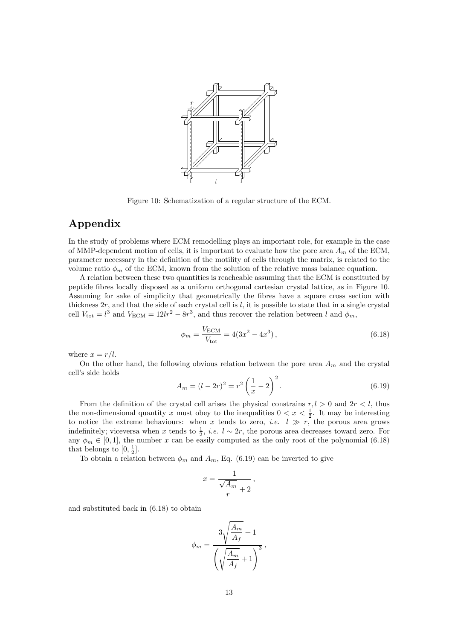

Figure 10: Schematization of a regular structure of the ECM.

# Appendix

In the study of problems where ECM remodelling plays an important role, for example in the case of MMP-dependent motion of cells, it is important to evaluate how the pore area  $A_m$  of the ECM, parameter necessary in the definition of the motility of cells through the matrix, is related to the volume ratio  $\phi_m$  of the ECM, known from the solution of the relative mass balance equation.

A relation between these two quantities is reacheable assuming that the ECM is constituted by peptide fibres locally disposed as a uniform orthogonal cartesian crystal lattice, as in Figure 10. Assuming for sake of simplicity that geometrically the fibres have a square cross section with thickness  $2r$ , and that the side of each crystal cell is  $l$ , it is possible to state that in a single crystal cell  $V_{\text{tot}} = l^3$  and  $V_{\text{ECM}} = 12lr^2 - 8r^3$ , and thus recover the relation between l and  $\phi_m$ ,

$$
\phi_m = \frac{V_{\text{ECM}}}{V_{\text{tot}}} = 4(3x^2 - 4x^3),\tag{6.18}
$$

where  $x = r/l$ .

On the other hand, the following obvious relation between the pore area  $A_m$  and the crystal cell's side holds

$$
A_m = (l - 2r)^2 = r^2 \left(\frac{1}{x} - 2\right)^2.
$$
\n(6.19)

From the definition of the crystal cell arises the physical constrains  $r, l > 0$  and  $2r < l$ , thus the non-dimensional quantity x must obey to the inequalities  $0 < x < \frac{1}{2}$ . It may be interesting to notice the extreme behaviours: when x tends to zero, *i.e.*  $l \gg r$ , the porous area grows indefinitely; viceversa when x tends to  $\frac{1}{2}$ , *i.e.*  $l \sim 2r$ , the porous area decreases toward zero. For any  $\phi_m \in [0,1]$ , the number x can be easily computed as the only root of the polynomial (6.18) that belongs to  $[0, \frac{1}{2}].$ 

To obtain a relation between  $\phi_m$  and  $A_m$ , Eq. (6.19) can be inverted to give

$$
x = \frac{1}{\frac{\sqrt{A_m}}{r} + 2},
$$

and substituted back in (6.18) to obtain

$$
\phi_m = \frac{3\sqrt{\frac{A_m}{A_f}}+1}{\left(\sqrt{\frac{A_m}{A_f}}+1\right)^3},
$$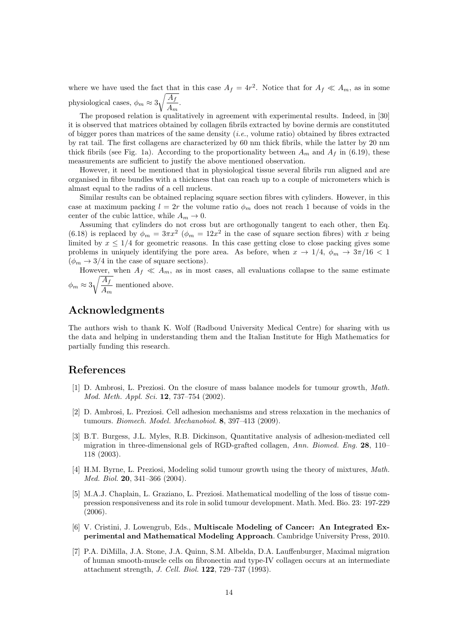where we have used the fact that in this case  $A_f = 4r^2$ . Notice that for  $A_f \ll A_m$ , as in some physiological cases,  $\phi_m \approx 3$  $\sqrt{A_f}$  $\frac{1}{A_m}$ .

The proposed relation is qualitatively in agreement with experimental results. Indeed, in [30] it is observed that matrices obtained by collagen fibrils extracted by bovine dermis are constituted of bigger pores than matrices of the same density (*i.e.*, volume ratio) obtained by fibres extracted by rat tail. The first collagens are characterized by 60 nm thick fibrils, while the latter by 20 nm thick fibrils (see Fig. 1a). According to the proportionality between  $A_m$  and  $A_f$  in (6.19), these measurements are sufficient to justify the above mentioned observation.

However, it need be mentioned that in physiological tissue several fibrils run aligned and are organised in fibre bundles with a thickness that can reach up to a couple of micrometers which is almast equal to the radius of a cell nucleus.

Similar results can be obtained replacing square section fibres with cylinders. However, in this case at maximum packing  $l = 2r$  the volume ratio  $\phi_m$  does not reach 1 because of voids in the center of the cubic lattice, while  $A_m \to 0$ .

Assuming that cylinders do not cross but are orthogonally tangent to each other, then Eq. (6.18) is replaced by  $\phi_m = 3\pi x^2$  ( $\phi_m = 12x^2$  in the case of square section fibres) with x being limited by  $x \leq 1/4$  for geometric reasons. In this case getting close to close packing gives some problems in uniquely identifying the pore area. As before, when  $x \to 1/4$ ,  $\phi_m \to 3\pi/16 < 1$  $(\phi_m \rightarrow 3/4$  in the case of square sections).

However, when  $A_f \ll A_m$ , as in most cases, all evaluations collapse to the same estimate  $\phi_m \approx 3$  $\sqrt{A_f}$  $\frac{11}{A_m}$  mentioned above.

## Acknowledgments

The authors wish to thank K. Wolf (Radboud University Medical Centre) for sharing with us the data and helping in understanding them and the Italian Institute for High Mathematics for partially funding this research.

## References

- [1] D. Ambrosi, L. Preziosi. On the closure of mass balance models for tumour growth, Math. Mod. Meth. Appl. Sci. 12, 737–754 (2002).
- [2] D. Ambrosi, L. Preziosi. Cell adhesion mechanisms and stress relaxation in the mechanics of tumours. Biomech. Model. Mechanobiol. 8, 397–413 (2009).
- [3] B.T. Burgess, J.L. Myles, R.B. Dickinson, Quantitative analysis of adhesion-mediated cell migration in three-dimensional gels of RGD-grafted collagen, Ann. Biomed. Eng. 28, 110– 118 (2003).
- [4] H.M. Byrne, L. Preziosi, Modeling solid tumour growth using the theory of mixtures, Math. Med. Biol. 20, 341–366 (2004).
- [5] M.A.J. Chaplain, L. Graziano, L. Preziosi. Mathematical modelling of the loss of tissue compression responsiveness and its role in solid tumour development. Math. Med. Bio. 23: 197-229 (2006).
- [6] V. Cristini, J. Lowengrub, Eds., Multiscale Modeling of Cancer: An Integrated Experimental and Mathematical Modeling Approach. Cambridge University Press, 2010.
- [7] P.A. DiMilla, J.A. Stone, J.A. Quinn, S.M. Albelda, D.A. Lauffenburger, Maximal migration of human smooth-muscle cells on fibronectin and type-IV collagen occurs at an intermediate attachment strength, J. Cell. Biol. 122, 729–737 (1993).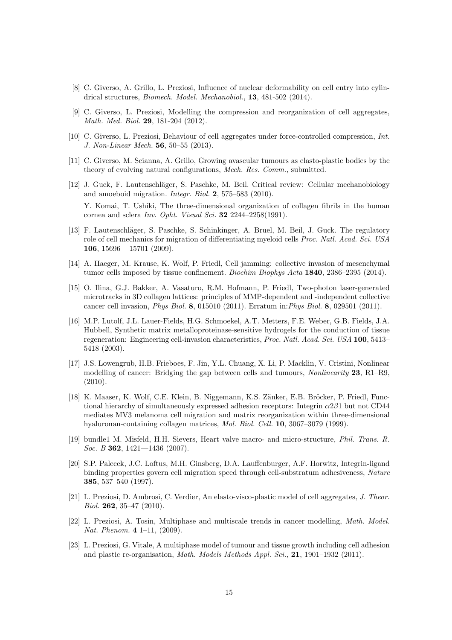- [8] C. Giverso, A. Grillo, L. Preziosi, Influence of nuclear deformability on cell entry into cylindrical structures, Biomech. Model. Mechanobiol., 13, 481-502 (2014).
- [9] C. Giverso, L. Preziosi, Modelling the compression and reorganization of cell aggregates, Math. Med. Biol. 29, 181-204 (2012).
- [10] C. Giverso, L. Preziosi, Behaviour of cell aggregates under force-controlled compression, Int. J. Non-Linear Mech. 56, 50–55 (2013).
- [11] C. Giverso, M. Scianna, A. Grillo, Growing avascular tumours as elasto-plastic bodies by the theory of evolving natural configurations, Mech. Res. Comm., submitted.
- [12] J. Guck, F. Lautenschl¨ager, S. Paschke, M. Beil. Critical review: Cellular mechanobiology and amoeboid migration. Integr. Biol. 2, 575–583 (2010). Y. Komai, T. Ushiki, The three-dimensional organization of collagen fibrils in the human cornea and sclera Inv. Opht. Visual Sci. 32 2244–2258(1991).
- [13] F. Lautenschl¨ager, S. Paschke, S. Schinkinger, A. Bruel, M. Beil, J. Guck. The regulatory role of cell mechanics for migration of differentiating myeloid cells Proc. Natl. Acad. Sci. USA 106,  $15696 - 15701$  (2009).
- [14] A. Haeger, M. Krause, K. Wolf, P. Friedl, Cell jamming: collective invasion of mesenchymal tumor cells imposed by tissue confinement. Biochim Biophys Acta 1840, 2386–2395 (2014).
- [15] O. Ilina, G.J. Bakker, A. Vasaturo, R.M. Hofmann, P. Friedl, Two-photon laser-generated microtracks in 3D collagen lattices: principles of MMP-dependent and -independent collective cancer cell invasion, Phys Biol. 8, 015010 (2011). Erratum in:Phys Biol. 8, 029501 (2011).
- [16] M.P. Lutolf, J.L. Lauer-Fields, H.G. Schmoekel, A.T. Metters, F.E. Weber, G.B. Fields, J.A. Hubbell, Synthetic matrix metalloproteinase-sensitive hydrogels for the conduction of tissue regeneration: Engineering cell-invasion characteristics, Proc. Natl. Acad. Sci. USA 100, 5413– 5418 (2003).
- [17] J.S. Lowengrub, H.B. Frieboes, F. Jin, Y.L. Chuang, X. Li, P. Macklin, V. Cristini, Nonlinear modelling of cancer: Bridging the gap between cells and tumours, *Nonlinearity* 23, R1–R9, (2010).
- [18] K. Maaser, K. Wolf, C.E. Klein, B. Niggemann, K.S. Zänker, E.B. Bröcker, P. Friedl, Functional hierarchy of simultaneously expressed adhesion receptors: Integrin  $\alpha$ 2 $\beta$ 1 but not CD44 mediates MV3 melanoma cell migration and matrix reorganization within three-dimensional hyaluronan-containing collagen matrices, Mol. Biol. Cell. 10, 3067–3079 (1999).
- [19] bundle1 M. Misfeld, H.H. Sievers, Heart valve macro- and micro-structure, Phil. Trans. R. Soc. B 362, 1421-1436 (2007).
- [20] S.P. Palecek, J.C. Loftus, M.H. Ginsberg, D.A. Lauffenburger, A.F. Horwitz, Integrin-ligand binding properties govern cell migration speed through cell-substratum adhesiveness, Nature 385, 537–540 (1997).
- [21] L. Preziosi, D. Ambrosi, C. Verdier, An elasto-visco-plastic model of cell aggregates, J. Theor. Biol. 262, 35–47 (2010).
- [22] L. Preziosi, A. Tosin, Multiphase and multiscale trends in cancer modelling, Math. Model. Nat. Phenom. 4 1–11, (2009).
- [23] L. Preziosi, G. Vitale, A multiphase model of tumour and tissue growth including cell adhesion and plastic re-organisation, Math. Models Methods Appl. Sci., 21, 1901–1932 (2011).